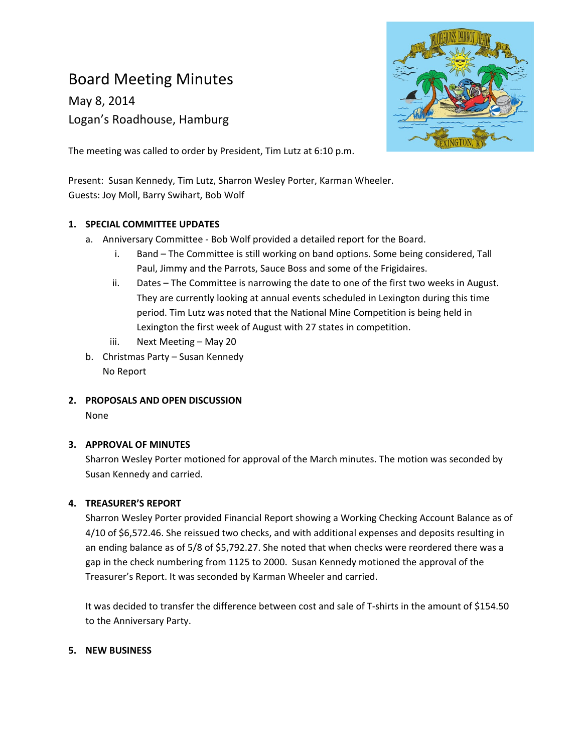# Board Meeting Minutes

May 8, 2014 Logan's Roadhouse, Hamburg



The meeting was called to order by President, Tim Lutz at 6:10 p.m.

Present: Susan Kennedy, Tim Lutz, Sharron Wesley Porter, Karman Wheeler. Guests: Joy Moll, Barry Swihart, Bob Wolf

#### **1. SPECIAL COMMITTEE UPDATES**

- a. Anniversary Committee ‐ Bob Wolf provided a detailed report for the Board.
	- i. Band The Committee is still working on band options. Some being considered, Tall Paul, Jimmy and the Parrots, Sauce Boss and some of the Frigidaires.
	- ii. Dates The Committee is narrowing the date to one of the first two weeks in August. They are currently looking at annual events scheduled in Lexington during this time period. Tim Lutz was noted that the National Mine Competition is being held in Lexington the first week of August with 27 states in competition.
	- iii. Next Meeting May 20
- b. Christmas Party Susan Kennedy No Report
- **2. PROPOSALS AND OPEN DISCUSSION** None

#### **3. APPROVAL OF MINUTES**

Sharron Wesley Porter motioned for approval of the March minutes. The motion was seconded by Susan Kennedy and carried.

#### **4. TREASURER'S REPORT**

Sharron Wesley Porter provided Financial Report showing a Working Checking Account Balance as of 4/10 of \$6,572.46. She reissued two checks, and with additional expenses and deposits resulting in an ending balance as of 5/8 of \$5,792.27. She noted that when checks were reordered there was a gap in the check numbering from 1125 to 2000. Susan Kennedy motioned the approval of the Treasurer's Report. It was seconded by Karman Wheeler and carried.

It was decided to transfer the difference between cost and sale of T‐shirts in the amount of \$154.50 to the Anniversary Party.

#### **5. NEW BUSINESS**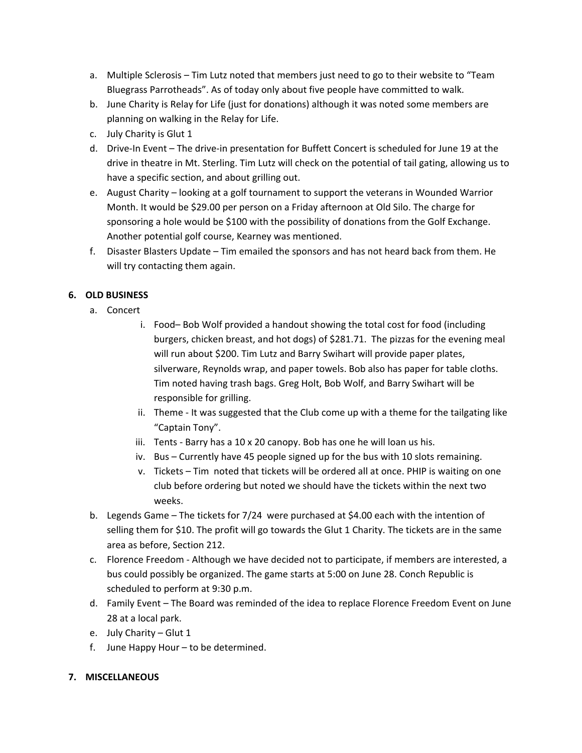- a. Multiple Sclerosis Tim Lutz noted that members just need to go to their website to "Team Bluegrass Parrotheads". As of today only about five people have committed to walk.
- b. June Charity is Relay for Life (just for donations) although it was noted some members are planning on walking in the Relay for Life.
- c. July Charity is Glut 1
- d. Drive‐In Event The drive‐in presentation for Buffett Concert is scheduled for June 19 at the drive in theatre in Mt. Sterling. Tim Lutz will check on the potential of tail gating, allowing us to have a specific section, and about grilling out.
- e. August Charity looking at a golf tournament to support the veterans in Wounded Warrior Month. It would be \$29.00 per person on a Friday afternoon at Old Silo. The charge for sponsoring a hole would be \$100 with the possibility of donations from the Golf Exchange. Another potential golf course, Kearney was mentioned.
- f. Disaster Blasters Update Tim emailed the sponsors and has not heard back from them. He will try contacting them again.

## **6. OLD BUSINESS**

- a. Concert
	- i. Food– Bob Wolf provided a handout showing the total cost for food (including burgers, chicken breast, and hot dogs) of \$281.71. The pizzas for the evening meal will run about \$200. Tim Lutz and Barry Swihart will provide paper plates, silverware, Reynolds wrap, and paper towels. Bob also has paper for table cloths. Tim noted having trash bags. Greg Holt, Bob Wolf, and Barry Swihart will be responsible for grilling.
	- ii. Theme It was suggested that the Club come up with a theme for the tailgating like "Captain Tony".
	- iii. Tents ‐ Barry has a 10 x 20 canopy. Bob has one he will loan us his.
	- iv. Bus Currently have 45 people signed up for the bus with 10 slots remaining.
	- v. Tickets Tim noted that tickets will be ordered all at once. PHIP is waiting on one club before ordering but noted we should have the tickets within the next two weeks.
- b. Legends Game The tickets for 7/24 were purchased at \$4.00 each with the intention of selling them for \$10. The profit will go towards the Glut 1 Charity. The tickets are in the same area as before, Section 212.
- c. Florence Freedom ‐ Although we have decided not to participate, if members are interested, a bus could possibly be organized. The game starts at 5:00 on June 28. Conch Republic is scheduled to perform at 9:30 p.m.
- d. Family Event The Board was reminded of the idea to replace Florence Freedom Event on June 28 at a local park.
- e. July Charity Glut 1
- f. June Happy Hour to be determined.

### **7. MISCELLANEOUS**